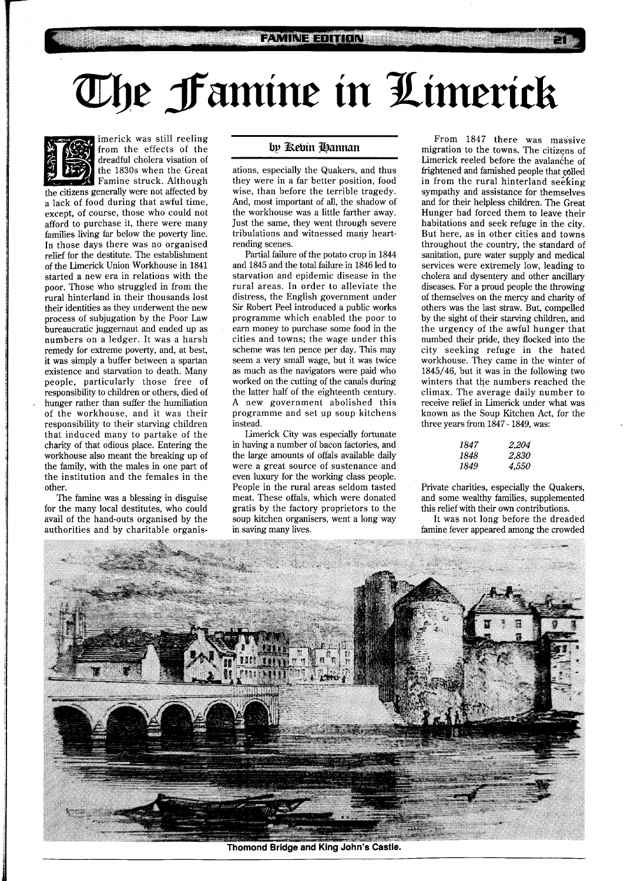## The Famine in Limerick



imerick was still reeling from the effects of the dreadful cholera visation of the 1830s when the Great

**the citizens generally were not affected by** the citizens generally were not affected by a lack of food during that awful time, except, of course, those who could not afford to purchase it, there were many families living far below the poverty line. In those days there was no organised relief for the destitute. The establishment of the Limerick Union Workhouse in 1841 started a new era in relations with the poor. Those who struggled in from the rural hinterland in their thousands lost their identities as they underwent the new process of subjugation by the Poor Law bureaucratic juggernaut and ended up as numbers on a ledger. It was a harsh remedy for extreme poverty, and, at best, it was simply a buffer between a spartan existence and starvation to death. Many people, particularly those free of responsibility to children or others, died of hunger rather than suffer the humiliation of the workhouse, and it was their responsibility to their starving children that induced many to partake of the charity of that odious place. Entering the workhouse also meant the breaking up of the family, with the males in one part of the institution and the females in the other.

The famine was a blessing in disguise for the many local destitutes, who could avail of the hand-outs organised by the authorities and by charitable organis-

## by Rebin Hannan

ations, especially the Quakers, and thus they were in a far better position, food wise, than before the terrible tragedy. And, most important of all, the shadow of the workhouse was a little farther away. Just the same, they went through severe tribulations and witnessed many heartrending scenes.

Partial failure of the potato crop in 1844 and 1845 and the total failure in 1846 led to starvation and epidemic disease in the rural areas. In order to alleviate the distress, the English government under Sir Robert Peel introduced a public works programme which enabled the poor to earn money to purchase some food in the cities and towns; the wage under this scheme was ten pence per day. This may seem a very small wage, but it was twice as much as the navigators were paid who worked on the cutting of the canals during the latter half of the eighteenth century. **A** new government abolished this programme and set up soup kitchens instead.

Limerick City was especially fortunate in having a number of bacon factories, and the large amounts of offals available daily were a great source of sustenance and even luxury for the working class people. People in the rural areas seldom tasted meat. These offals, which were donated gratis by the factory proprietors to the soup kitchen organisers, went a long way in saving many lives.

From 1847 there was massive migration to the towns. The citizens of Limerick reeled before the avalanche of frightened and famished people that rolled in from the rural hinterland seeking sympathy and assistance for themselves and for their helpless children. The Great Hunger had forced them to leave their habitations and seek refuge in the city. But here, as in other cities and towns throughout the country, the standard of sanitation, pure water supply and medical services were extremely low, leading to cholera and dysentery and other ancillary diseases. For a proud people the throwing of themselves on the mercy and charity of others was the last straw. But, compelled by the sight of their starving children, and the urgency of the awful hunger that numbed their pride, they flocked into the city seeking refuge in the hated workhouse. They came in the winter of 1845/46, but it was in the following two winters that the numbers reached the climax. The average daily number to receive relief in Limerick under what was known as the Soup Kitchen Act, for the three years from 1847 - 1849, was:

| 1847 | 2,204 |
|------|-------|
| 1848 | 2,830 |
| 1849 | 4,550 |

Private charities, especially the Quakers, and some wealthy families, supplemented this relief with their own contributions.

It was not long before the dreaded famine fever appeared among the crowded



Thomond Bridge and King John's Castle.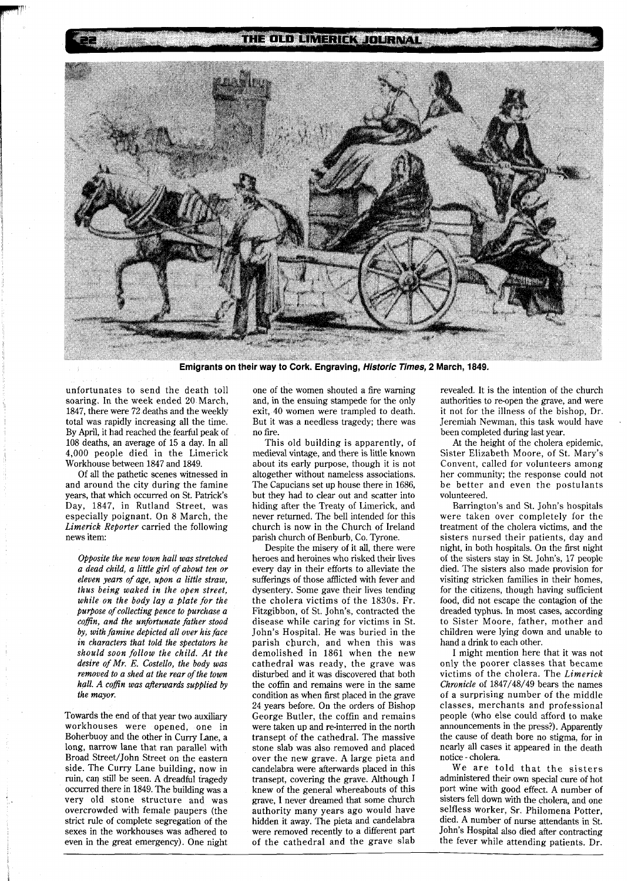## THE OLD LIMERICK JOURNAL



Emigrants on their way to Cork. Engraving, Historic Times, 2 March, 1849.

unfortunates to send the death toll soaring. In the week ended 20 March, 1847, there were 72 deaths and the weekly total was rapidly increasing all the time. By April, it had reached the fearful peak of 108 deaths, an average of 15 a day. In all 4,000 people died in the Limerick Workhouse between 1847 and 1849.

Of all the pathetic scenes witnessed in and around the city during the famine years, that which occurred on St. Patrick's Day, 1847, in Rutland Street, was especially poignant. On 8 March, the *Limerick Reporter* carried the following news item:

*Opposite the new town hall was stretched a dead child, a little girl of about ten or eleven years of age, upon a little straw, thus being waked in the open street, while on the body lay a plate for the purpose of collecting pence to purchase a coffin, and the unfortunate father stood by, with famine depicted all over his face in characters that told the spectators he should soon follow the child. At the desire of Mr. E. Costello, the body was removed to a shed at the rear of the town hall. A coffin was aflerwards supplied by the mayor.* 

Towards the end of that year two auxiliary workhouses were opened, one in Boherbuoy and the other in Curry Lane, a long, narrow lane that ran parallel with Broad Street/John Street on the eastern side. The Curry Lane building, now in ruin, can still be seen. A dreadful tragedy occurred there in 1849. The building was a very old stone structure and was overcrowded with female paupers (the strict rule of complete segregation of the sexes in the workhouses was adhered to even in the great emergency). One night one of the women shouted a fire warning and, in the ensuing stampede for the only exit, 40 women were trampled to death. But it was a needless tragedy; there was no fire.

This old building is apparently, of medieval vintage, and there is little known about its early purpose, though it is not altogether without nameless associations. The Capucians set up house there in 1686, but they had to clear out and scatter into hiding after the Treaty of Limerick, and never returned. The bell intended for this church is now in the Church of Ireland parish church of Benburb, Co. Tyrone.

Despite the misery of it all, there were heroes and heroines who risked their lives every day in their efforts to alleviate the sufferings of those afflicted with fever and dysentery. Some gave their lives tending the cholera victims of the 1830s. Fr. Fitzgibbon, of St. John's, contracted the disease while caring for victims in St. John's Hospital. He was buried in the parish church, and when this was demolished in 1861 when the new cathedral was ready, the grave was disturbed and it was discovered that both the coffin and remains were in the same condition as when first placed in the grave 24 years before. On the orders of Bishop George Butler, the coffin and remains were taken up and re-interred in the north transept of the cathedral. The massive stone slab was also removed and placed over the new grave. A large pieta and candelabra were afterwards placed in this transept, covering the grave. Although 1 knew of the general whereabouts of this grave, I never dreamed that some church authority many years ago would have hidden it away. The pieta and candelabra were removed recently to a different part of the cathedral and the grave slab revealed. It is the intention of the church authorities to re-open the grave, and were it not for the illness of the bishop, Dr. Jeremiah Newman, this task would have . been completed during last year.

At the height of the cholera epidemic, Sister Elizabeth Moore, of St. Mary's Convent, called for volunteers among her community; the response could not be better and even the postulants volunteered.

Barrington's and St. John's hospitals were taken over completely for the treatment of the cholera victims, and the sisters nursed their patients, day and night, in both hospitals. On the first night of the sisters stay in St. John's, 17 people died. The sisters also made provision for visiting stricken families in their homes, for the citizens, though having sufficient food, did not escape the contagion of the dreaded typhus. In most cases, according to Sister Moore, father, mother and children were lying down and unable to hand a drink to each other.

I might mention here that it was not only the poorer classes that became victims of the cholera. The *Limerick Chronicle* of 1847/48/49 bears the names of a surprising number of the middle classes, merchants and professional people (who else could afford to make announcements in the press?). Apparently the cause of death bore no stigma, for in nearly all cases it appeared in the death notice - cholera.

We are told that the sisters administered their own special cure of hot port wine with good effect. A number of sisters fell down with the cholera, and one selfless worker, Sr. Philomena Potter, died. A number of nurse attendants in St. John's Hospital also died after contracting the fever while attending patients. Dr.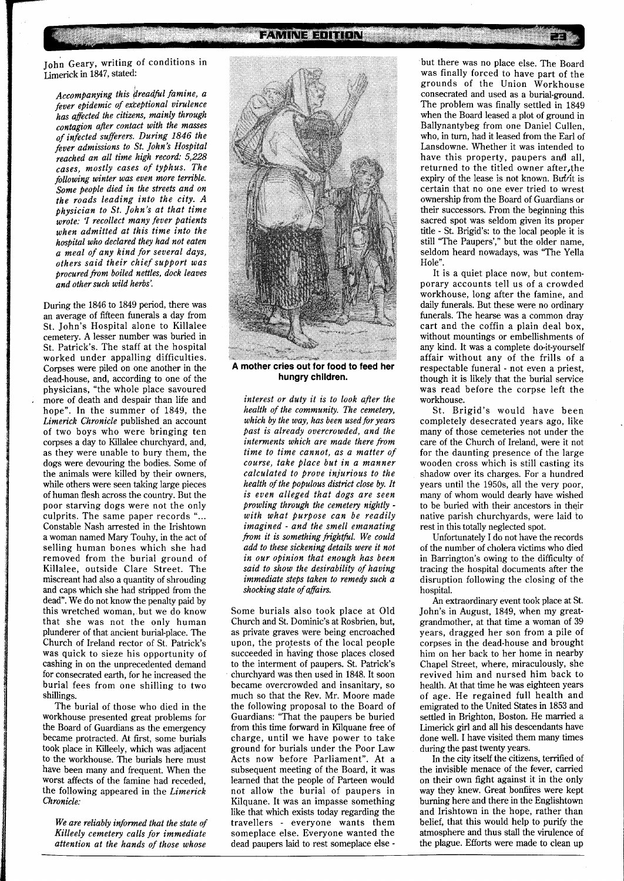**FAMINE EDITION** 

John Geary, writing of conditions in Limerick in 1847, stated:

*Accompanying this dreadful famine, a fever epidemic of exteptional virulence has affected the citizens, mainly through contagion after contact with the masses of infected sufferers. During* <sup>1846</sup>*the fever admissions to St. John's Hospital reached an all time high record:* 5,228 *cases, mostly cases of typhus. The following winter was even more terrible. Some people died in the streets and on the roads leading into the city. A physician to St. John's at that time where the roads leading into the city. A*<br>*physician to St. John's at that time*<br>*wrote: I recollect many fever patients*<br>*when admitted at this time into the when admitted at this time into the hospital who declared they had not eaten a meal of any kind for several days, others said their chief support was brocured fi-om boiled nettles, dock leaves and other such wild herbs'.* 

During the 1846 to 1849 period, there was an average of fifteen funerals a day from St. John's Hospital alone to Killalee cemetery. A lesser number was buried in St. Patrick's. The staff at the hospital worked under appalling difficulties. Corpses were piled on one another in the dead-house, and, according to one of the physicians, "the whole place savoured more of death and despair than life and hope". In the summer of 1849, the *Limerick Chronicle* published an account of two boys who were bringing ten corpses a day to Killalee churchyard, and, as they were unable to bury them, the dogs were devouring the bodies. Some of the animals were killed by their owners, while others were seen taking large pieces of human flesh across the country. But the poor starving dogs were not the only culprits. The same paper records " Constable Nash arrested in the Irishtown a woman named Mary Touhy, in the act of selling human bones which she had removed from the burial ground of Killalee, outside Clare Street. The miscreant had also a quantity of shrouding and caps which she had stripped from the dead". We do not know the penalty paid by this wretched woman, but we do know that she was not the only human plunderer of that ancient burial-place. The Church of Ireland rector of St. Patrick's was quick to sieze his opportunity of cashing in on the unprecedented demand for consecrated earth, for he increased the burial fees from one shilling to two shillings.

The burial of those who died in the workhouse presented great problems for the Board of Guardians as the emergency became protracted. At first, some burials took place in Killeely, which was adjacent to the workhouse. The burials here must have been many and frequent. When the worst affects of the famine had receded, the following appeared in the *Limerick Chronicle:* 

*We are reliably informed that the state of Killeely cemetery calls for immediate attention at the hands of those whose* 



**A mother cries out for food to feed her hungry children.** 

*interest or duty it is to look after the health of the community. The cemetery,*  which by the way, has been used for years *past is already overcrowded, and the interments which are made there from time to time cannot, as a matter of course, take place but in a manner calculated to prove injurious to the health of the PoPulous district close by. It is even alleged that dogs are seen prowling through the cemetery nightly with what purpose can be readily imagined* - *and the smell emanating fi-om it* **is** *something fightficl. We could add to these sickening details were it not in our opinion that enough has been said to show the desirability of having immediate steps taken to remedy such a shocking state of affairs.* 

Some burials also took place at Old Church and St. Dominic's at Rosbrien, but, as private graves were being encroached upon, the protests of the local people succeeded in having those places closed to the interment of paupers. St. Patrick's churchyard was then used in 1848. It soon became overcrowded and insanitary, so much so that the Rev. Mr. Moore made the following proposal to the Board of Guardians: "That the paupers be buried from this time forward in Kilquane free of charge, until we have power to take ground for burials under the Poor Law Acts now before Parliament". At a subsequent meeting of the Board, it was learned that the people of Parteen would not allow the burial of paupers in Kilquane. It was an impasse something like that which exists today regarding the travellers - everyone wants them someplace else. Everyone wanted the dead paupers laid to rest someplace else -

but there was no place else. The Board was finally forced to have part of the grounds of the Union Workhouse consecrated and used as a burial-ground. The problem was finally settled in 1849 when the Board leased a plot of ground in Ballynantybeg from one Daniel Cullen, who, in turn, had it leased from the Earl of Lansdowne. Whether it was intended to have this property, paupers and all, returned to the titled owner after,the expiry of the lease is not known. But it is certain that no one ever tried to wrest ownership from the Board of Guardians or their successors. From the beginning this sacred spot was seldom given its proper title - St. Brigid's: to the local people it is still "The Paupers'," but the older name, seldom heard nowadays, was "The Yella Hole".

It is a quiet place now, but contemporary accounts tell us of a crowded workhouse, long after the famine, and daily funerals. But these were no ordinary funerals. The hearse was a common dray cart and the coffin a plain deal box, without mountings or embellishments of any kind. It was a complete do-it-yourself affair without any of the frills of a respectable funeral - not even a priest, though it is likely that the burial service was read before the corpse left the workhouse.

St. Brigid's would have been completely desecrated years ago, like many of those cemeteries not under the care of the Church of Ireland, were it not for the daunting presence of the large wooden cross which is still casting its shadow over its charges. For a hundred years until the 1950s, all the very poor, many of whom would dearly have wished to be buried with their ancestors in their native parish churchyards, were laid to rest in this totally neglected spot.

Unfortunately I do not have the records of the number of cholera victims who died in Barrington's owing to the difficulty of tracing the hospital documents after the disruption following the closing of the hospital.

An extraordinary event took place at St. John's in August, 1849, when my greatgrandmother, at that time a woman of 39 years, dragged her son from a pile of corpses in the dead-house and brought him on her back to her home in nearby Chapel Street, where, miraculously, she revived him and nursed him back to health. At that time he was eighteen years of age. He regained full health and emigrated to the United States in 1853 and settled in Brighton, Boston. He married a Limerick girl and all his descendants have done well. I have visited them many times during the past twenty years.

In the city itself the citizens, terrified of the invisible menace of the fever, carried on their own fight against it in the only way they knew. Great bonfires were kept burning here and there in the Englishtown and Irishtown in the hope, rather than belief, that this would help to purify the atmosphere and thus stall the virulence of the plague. Efforts were made to clean up